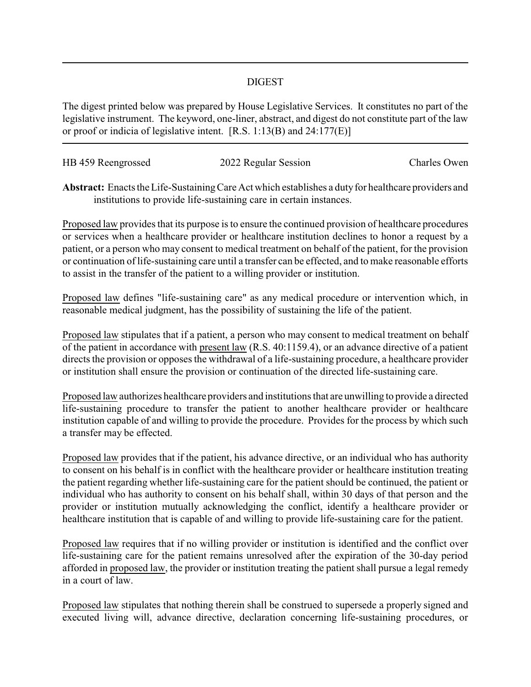## DIGEST

The digest printed below was prepared by House Legislative Services. It constitutes no part of the legislative instrument. The keyword, one-liner, abstract, and digest do not constitute part of the law or proof or indicia of legislative intent. [R.S. 1:13(B) and 24:177(E)]

| HB 459 Reengrossed | 2022 Regular Session | Charles Owen |
|--------------------|----------------------|--------------|
|                    |                      |              |

Abstract: Enacts the Life-Sustaining Care Act which establishes a duty for healthcare providers and institutions to provide life-sustaining care in certain instances.

Proposed law provides that its purpose is to ensure the continued provision of healthcare procedures or services when a healthcare provider or healthcare institution declines to honor a request by a patient, or a person who may consent to medical treatment on behalf of the patient, for the provision or continuation of life-sustaining care until a transfer can be effected, and to make reasonable efforts to assist in the transfer of the patient to a willing provider or institution.

Proposed law defines "life-sustaining care" as any medical procedure or intervention which, in reasonable medical judgment, has the possibility of sustaining the life of the patient.

Proposed law stipulates that if a patient, a person who may consent to medical treatment on behalf of the patient in accordance with present law (R.S. 40:1159.4), or an advance directive of a patient directs the provision or opposes the withdrawal of a life-sustaining procedure, a healthcare provider or institution shall ensure the provision or continuation of the directed life-sustaining care.

Proposed law authorizes healthcare providers and institutions that are unwilling to provide a directed life-sustaining procedure to transfer the patient to another healthcare provider or healthcare institution capable of and willing to provide the procedure. Provides for the process by which such a transfer may be effected.

Proposed law provides that if the patient, his advance directive, or an individual who has authority to consent on his behalf is in conflict with the healthcare provider or healthcare institution treating the patient regarding whether life-sustaining care for the patient should be continued, the patient or individual who has authority to consent on his behalf shall, within 30 days of that person and the provider or institution mutually acknowledging the conflict, identify a healthcare provider or healthcare institution that is capable of and willing to provide life-sustaining care for the patient.

Proposed law requires that if no willing provider or institution is identified and the conflict over life-sustaining care for the patient remains unresolved after the expiration of the 30-day period afforded in proposed law, the provider or institution treating the patient shall pursue a legal remedy in a court of law.

Proposed law stipulates that nothing therein shall be construed to supersede a properly signed and executed living will, advance directive, declaration concerning life-sustaining procedures, or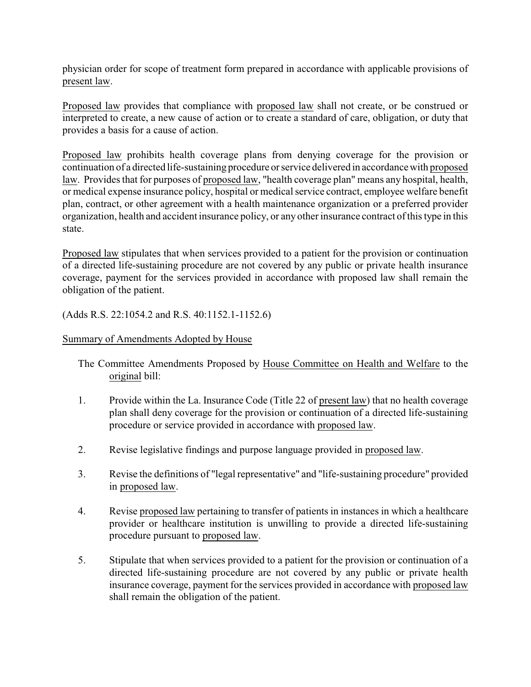physician order for scope of treatment form prepared in accordance with applicable provisions of present law.

Proposed law provides that compliance with proposed law shall not create, or be construed or interpreted to create, a new cause of action or to create a standard of care, obligation, or duty that provides a basis for a cause of action.

Proposed law prohibits health coverage plans from denying coverage for the provision or continuation of a directed life-sustaining procedure or service delivered in accordance with proposed law. Provides that for purposes of proposed law, "health coverage plan" means any hospital, health, or medical expense insurance policy, hospital or medical service contract, employee welfare benefit plan, contract, or other agreement with a health maintenance organization or a preferred provider organization, health and accident insurance policy, or any other insurance contract of this type in this state.

Proposed law stipulates that when services provided to a patient for the provision or continuation of a directed life-sustaining procedure are not covered by any public or private health insurance coverage, payment for the services provided in accordance with proposed law shall remain the obligation of the patient.

(Adds R.S. 22:1054.2 and R.S. 40:1152.1-1152.6)

## Summary of Amendments Adopted by House

The Committee Amendments Proposed by House Committee on Health and Welfare to the original bill:

- 1. Provide within the La. Insurance Code (Title 22 of present law) that no health coverage plan shall deny coverage for the provision or continuation of a directed life-sustaining procedure or service provided in accordance with proposed law.
- 2. Revise legislative findings and purpose language provided in proposed law.
- 3. Revise the definitions of "legal representative" and "life-sustaining procedure" provided in proposed law.
- 4. Revise proposed law pertaining to transfer of patients in instances in which a healthcare provider or healthcare institution is unwilling to provide a directed life-sustaining procedure pursuant to proposed law.
- 5. Stipulate that when services provided to a patient for the provision or continuation of a directed life-sustaining procedure are not covered by any public or private health insurance coverage, payment for the services provided in accordance with proposed law shall remain the obligation of the patient.